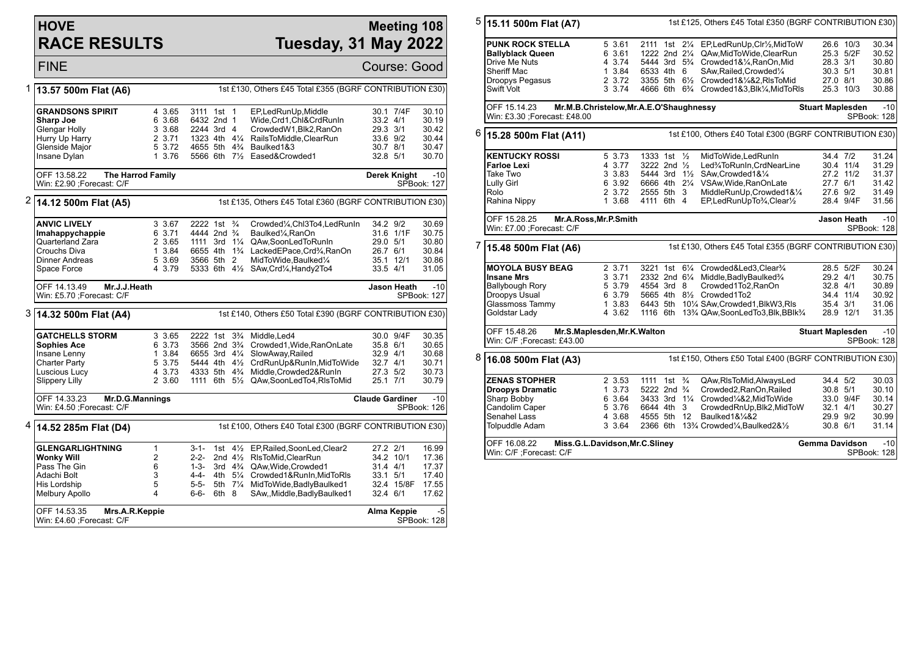## **HOVE RACE RESULTS**

## **Meeting 108 Tuesday, 31 May 2022**

FINE Course: Good 1 **13.57 500m Flat (A6)** 1st £130, Others £45 Total £355 (BGRF CONTRIBUTION £30) **GRANDSONS SPIRIT** 4 3.65 3111 1st 1 EP, Led Run Up, Middle 30.1 7/4F 30.10<br> **Sharp Joe** 30.1 30.19 6 3.68 6432 2nd 1 Wide. Crd 1. Chi& Crd Run In 33.2 4/1 30.19 **Sharp Joe** 6 3.68 6432 2nd 1 Wide,Crd1,Chl&CrdRunIn 33.2 4/1 30.19 Glengar Holly 3 3.68 2244 3rd 4 CrowdedW1,Blk2,RanOn 29.3 3/1 30.42 1323 4th 4¼ RailsToMiddle ClearRun Glenside Major 5 3.72 4655 5th 4¾ Baulked1&3 30.7 8/1 30.47 1 3.76 5566 6th 7% Eased&Crowded1 OFF 13.58.22 **The Harrod Family** Win: £2.90 ;Forecast: C/F **Derek Knight** -10 SPBook: 127 2 **14.12 500m Flat (A5)** 1st £135, Others £45 Total £360 (BGRF CONTRIBUTION £30) **ANVIC LIVELY** 3 3.67 2222 1st ¾ Crowded¼,Chl3To4,LedRunIn 34.2 9/2 30.69<br>**Imahappychappie** 6 3.71 4444 2nd ¾ Baulked¼,RanOn 31.6 1/1F 30.75 **Imahappychappie** 6 3.71 4444 2nd ¾ Baulked¼,RanOn 31.6 1/11<br>
Quarterland Zara 2 3.65 1111 3rd 1¼ QAw.SoonLedToRunIn 29.0 5/1 1111 3rd 1¼ QAw,SoonLedToRunIn 29.0 5/1 30.80 Crouchs Diva 1 3.84 6655 4th 1¾ LackedEPace,Crd¾,RanOn 26.7 6/1 30.84 Dinner Andreas 5 3.69 3566 5th 2 MidToWide,Baulked¼ 35.1 12/1 30.86 4 3.79 5333 6th 41/2 SAw,Crd1/4, Handy2To4 OFF 14.13.49 **Mr.J.J.Heath** Win: £5.70 ;Forecast: C/F Jason Heath -10 SPBook: 127 3 **14.32 500m Flat (A4)** 1st £140, Others £50 Total £390 (BGRF CONTRIBUTION £30) **GATCHELLS STORM** 3 3.65 2222 1st 3<sup>3</sup>/4 Middle, Led4 30.0 9/4F 30.35<br>**Sophies Ace** 37.0 3566 2nd 3<sup>3</sup>/4 Crowded 1. Wide. RanOnLate 35.8 6/1 30.65 **Sophies Ace** 6 3.73 3566 2nd 3<sup>3</sup>/<sub>4</sub> Crowded1, Wide, Ran OnLate 35.8 6/1 30.65<br>Insane Lenny 1 3.84 6655 3rd 41/<sub>4</sub> SlowAway, Railed 32.9 4/1 30.68 Insane Lenny 1 3.84 6655 3rd 4¼ SlowAway,Railed 32.9 4/1<br>Charter Party 5 3.75 5444 4th 4½ CrdRunUp&RunIn.MidToWide 32.7 4/1 Charter Party 5 3.75 5444 4th 4½ CrdRunUp&RunIn,MidToWide 32.7 4/1 30.71 Luscious Lucy 4 3.73 4333 5th 4¾ Middle,Crowded2&RunIn 27.3 5/2 30.73 1111 6th 5½ QAw,SoonLedTo4,RlsToMid OFF 14.33.23 **Mr.D.G.Mannings** Win: £4.50 ;Forecast: C/F **Claude Gardiner** -10 SPBook: 126 4 **14.52 285m Flat (D4)** 1st £100, Others £40 Total £300 (BGRF CONTRIBUTION £30) **GLENGARLIGHTNING** 1 3-1- 1st 4<sup>1</sup>/<sub>2</sub> EP,Railed,SoonLed,Clear2 27.2 2/1 16.99<br> **Wonky Will 2** 2-2- 2nd 4<sup>1</sup>/<sub>2</sub> RIsToMid,ClearRun 34.2 10/1 17.36 **Wonky Will** 2 2-2- 2nd 4½ RlsToMid,ClearRun 34.2 10/1 34.2 10<br>Pass The Gin 31.4 4/1 6 3rd 4<sup>3</sup>/4 QAw.Wide.Crowded1 31.4 4/1 Pass The Gin 6 1-3- 3rd 4¾ QAw,Wide,Crowded1 31.4 4/1 17.37 Adachi Bolt 3 4-4- 4th 5¼ Crowded1&RunIn,MidToRls 33.1 5/1 17.40 His Lordship 5 5-5- 5th 7<sup>1</sup>/4 MidToWide,BadlyBaulked1 32.4 15/8<br>Melbury Apollo 32.4 6/1 5-6- 6th 8 SAw,,Middle,BadlyBaulked1 32.4 6/1 Melbury Apollo 4 6-6- 6th 8 SAw,,Middle,BadlyBaulked1 32.4 6/1 17.62 OFF 14.53.35 **Mrs.A.R.Keppie** Win: £4.60 ;Forecast: C/F **Alma Keppie** -5 SPBook: 128 5 **15.11 500m Flat (A7)** 1st £125, Others £45 Total £350 (BGRF CONTRIBUTION £30) **PUNK ROCK STELLA** 5 3.61 2111 1st 2¼ EP,LedRunUp,Clr½,MidToW 26.6 10/3 30.34 **Ballyblack Queen** 6 3.61 1222 2nd 21/<sub>4</sub> QAw,MidToWide,ClearRun 25.3 5/2F 30.52<br>Drive Me Nuts **4 3.74 5444 3rd 5**% Crowded1&1% RanOn Mid 28.3 3/1 30.80 Drive Me Nuts **4 3.74 5444 3rd 5**<sup>3</sup> Crowded1&¼,RanOn,Mid 28.3 3/1 30.80<br>
Sheriff Mac 1 3.84 6533 4th 6 SAw Railed Crowded¼ 30.3 5/1 30.81 Sheriff Mac 1 3.84 6533 4th 6 SAw,Railed,Crowded¼ 30.3 5/1 30.81 Droopys Pegasus 2 3.72 3355 5th 6½ Crowded1&¼&2,RlsToMid 27.0 8/1 30.86 Swift Volt 3 3.74 4666 6th 6¾ Crowded1&3,Blk¼,MidToRls 25.3 10/3 30.88 OFF 15.14.23 **Mr.M.B.Christelow,Mr.A.E.O'Shaughnessy** Win: £3.30 ;Forecast: £48.00 **Stuart Maplesden** -10 SPBook: 128 6 **15.28 500m Flat (A11)** 1st £100, Others £40 Total £300 (BGRF CONTRIBUTION £30) **KENTUCKY ROSSI** 5 3.73 1333 1st ½ MidToWide,LedRunIn 34.4 7/2 31.24<br>**Farloe Lexi** 4 3.77 3222 2nd ½ Led¾ToRunIn,CrdNearLine 30.4 11/4 31.29 **Farloe Lexi** 4 3.77 3222 2nd ½ Led¾ToRunIn,CrdNearLine 30.4 11/4 31.29 Take Two 3 3.83 5444 3rd 1½ SAw,Crowded1&¼ 27.2 11/2 31.37 Lully Girl 6 3.92 6666 4th 2¼ VSAw,Wide,RanOnLate 27.7 6/1 31.42 MiddleRunUp.Crowded1&1/4 Rahina Nippy 1 3.68 4111 6th 4 EP,LedRunUpTo¼,Clear½ 28.4 9/4F 31.56 OFF 15.28.25 **Mr.A.Ross,Mr.P.Smith** Win: £7.00 ;Forecast: C/F **Jason Heath** -10 SPBook: 128 7 **15.48 500m Flat (A6)** 1st £130, Others £45 Total £355 (BGRF CONTRIBUTION £30) **MOYOLA BUSY BEAG** 2 3.71 3221 1st 6<sup>1</sup>/<sub>4</sub> Crowded&Led3,Clear<sup>3</sup>/<sub>4</sub> 28.5 5/2F 30.24<br> **Insane Mrs** 3 3.71 2332 2nd 6<sup>1</sup>/<sub>4</sub> Middle BadlyBaulked<sup>3</sup>/<sub>4</sub> 29.2 4/1 30.75 **Insane Mrs** 3 3.71 2332 2nd 6¼ Middle,BadlyBaulked¾ 29.2 4/1 30.75 Ballybough Rory 5 3.79 4554 3rd 8 Crowded1To2,RanOn 32.8 4/1 30.89 Droopys Usual 6 3.79 5665 4th 8½ Crowded1To2 34.4 11/4 30.92 6443 5th 10¼ SAw,Crowded1,BlkW3,Rls 35.4 3/1 31.06<br>1116 6th 13¾ QAw,SoonLedTo3,Blk,BBlk¾ 28.9 12/1 31.35  $\overline{{\mathsf{Goldstar}\:} }$  Lady  $\overline{{\mathsf{Add}}}\,$  4 3.62  $\overline{{\mathsf{1116}\:} }$  6th 13¾ QAw,SoonLedTo3.Blk,BBlk¾ OFF 15.48.26 **Mr.S.Maplesden,Mr.K.Walton** Win: C/F ;Forecast: £43.00 **Stuart Maplesden** -10 SPBook: 128 8 **16.08 500m Flat (A3)** 1st £150, Others £50 Total £400 (BGRF CONTRIBUTION £30) **ZENAS STOPHER** 2 3.53 1111 1st ¾ QAw,RisToMid,AlwaysLed 34.4 5/2 30.03<br> **Droopys Dramatic** 1 3.73 5222 2nd ¾ Crowded2,RanOn,Railed 30.8 5/1 30.10 **Droopys Dramatic** 1 3.73 5222 2nd ¾ Crowded2,RanOn,Railed 30.8 5/1 30.10<br>Sharp Bobby 6 3.64 3433 3rd 1¼ Crowded¼&2,MidToWide 33.0 9/4F 30.14 Sharp Bobby 6 3.64 3433 3rd 11/4 Crowded<sup>1</sup>/4&2,MidToWide 33.0 9/4F 30.14<br>Candolim Caper 6 3.76 6644 4th 3 CrowdedRnUp,Blk2,MidToW 32.1 4/1 30.27 Candolim Caper 5 3.76 6644 4th 3 CrowdedRnUp,Blk2,MidToW 32.1 4/1 30.27 Senahel Lass 4 3.68 4555 5th 12 Baulked1&¼&2 29.9 9/2<br>19 Tolpuddle Adam 4 3 3.64 2366 6th 13% Crowded¼ Baulked2&½ 30.8 3 3.64 2366 6th 13<sup>3</sup>/<sub>4</sub> Crowded<sup>1</sup>/<sub>4</sub>,Baulked2&<sup>1</sup>/<sub>2</sub> 30.8 6/1 31.14 OFF 16.08.22 **Miss.G.L.Davidson,Mr.C.Sliney** Win: C/F ;Forecast: C/F **Gemma Davidson** -10 SPBook: 128